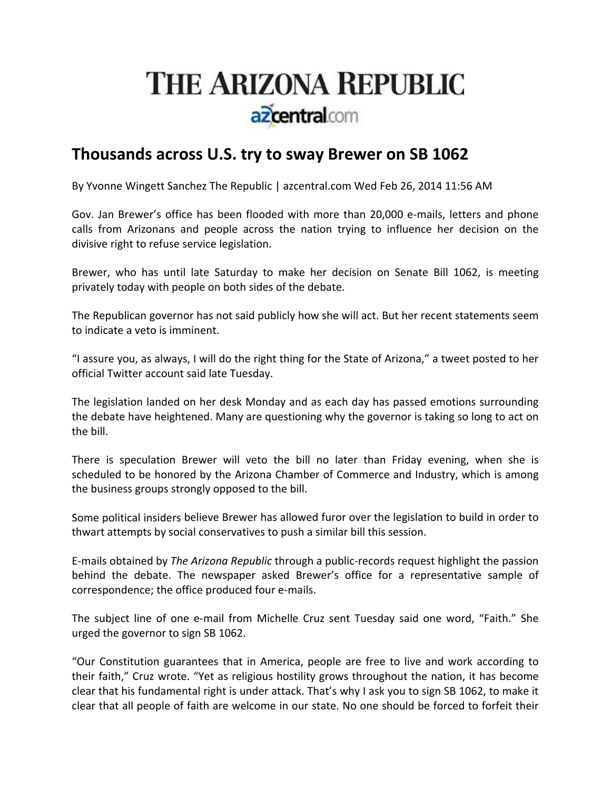## **THE ARIZONA REPUBLIC** azcentral.com

## **Thousands across U.S. try to sway Brewer on SB 1062**

By Yvonne Wingett Sanchez The Republic | azcentral.com Wed Feb 26, 2014 11:56 AM

Gov. Jan Brewer's office has been flooded with more than 20,000 e-mails, letters and phone calls from Arizonans and people across the nation trying to influence her decision on the divisive right to refuse service legislation.

Brewer, who has until late Saturday to make her decision on Senate Bill 1062, is meeting privately today with people on both sides of the debate.

The Republican governor has not said publicly how she will act. But her recent statements seem to indicate a veto is imminent.

"I assure you, as always, I will do the right thing for the State of Arizona," a tweet posted to her official Twitter account said late Tuesday.

The legislation landed on her desk Monday and as each day has passed emotions surrounding the debate have heightened. Many are questioning why the governor is taking so long to act on the bill.

There is speculation Brewer will veto the bill no later than Friday evening, when she is scheduled to be honored by the Arizona Chamber of Commerce and Industry, which is among the business groups strongly opposed to the bill.

Some political insiders believe Brewer has allowed furor over the legislation to build in order to thwart attempts by social conservatives to push a similar bill this session.

E‐mails obtained by *The Arizona Republic* through a public‐records request highlight the passion behind the debate. The newspaper asked Brewer's office for a representative sample of correspondence; the office produced four e‐mails.

The subject line of one e‐mail from Michelle Cruz sent Tuesday said one word, "Faith." She urged the governor to sign SB 1062.

"Our Constitution guarantees that in America, people are free to live and work according to their faith," Cruz wrote. "Yet as religious hostility grows throughout the nation, it has become clear that his fundamental right is under attack. That's why I ask you to sign SB 1062, to make it clear that all people of faith are welcome in our state. No one should be forced to forfeit their